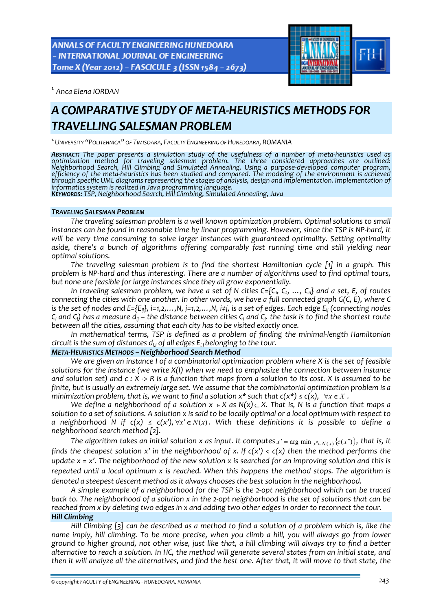**ANNALS OF FACULTY ENGINEERING HUNEDOARA** - INTERNATIONAL JOURNAL OF ENGINEERING Tome X (Year 2012) - FASCICULE 3 (ISSN 1584 - 2673)



*1.Anca Elena IORDAN*

# *A COMPARATIVE STUDY OF META‐HEURISTICS METHODS FOR TRAVELLING SALESMAN PROBLEM*

*1.UNIVERSITY "POLITEHNICA" OF TIMISOARA, FACULTY ENGINEERING OF HUNEDOARA, ROMANIA*

**ABSTRACT:** The paper presents a simulation study of the usefulness of a number of meta-heuristics used as *optimization method for traveling salesman problem. The three considered approaches are outlined:* Neighborhood Search, Hill Climbing and Simulated Annealing. Using a purpose-developed computer program,<br>efficiency of the meta-heuristics has been studied and compared. The modeling of the environment is achieved through specific UML diagrams representing the stages of analysis, design and implementation. Implementation of<br>informatics system is realized in Java programming language.<br>KEYWORDS: TSP, Neighborhood Search, Hill Climbing

## *TRAVELING SALESMAN PROBLEM*

*The traveling salesman problem is a well known optimization problem. Optimal solutions to small* instances can be found in reasonable time by linear programming. However, since the TSP is NP-hard, it *will be very time consuming to solve larger instances with guaranteed optimality. Setting optimality aside, there's a bunch of algorithms offering comparably fast running time and still yielding near optimal solutions.*

*The traveling salesman problem is to find the shortest Hamiltonian cycle [1] in a graph. This* problem is NP-hard and thus interesting. There are a number of algorithms used to find optimal tours, *but none are feasible for large instances since they all grow exponentially.* 

In traveling salesman problem, we have a set of N cities  $C = \{C_1, C_2, ..., C_n\}$  and a set, E, of routes connecting the cities with one another. In other words, we have a full connected graph G(C, E), where C is the set of nodes and E={E<sub>ii</sub>}, i=1,2,...,N, j=1,2,...,N, i≠j, is a set of edges. Each edge E<sub>ii</sub> (connecting nodes  $C_i$  and  $C_i$ ) has a measure  $d_{ii}$  – the distance between cities  $C_i$  and  $C_i$ . the task is to find the shortest route *between all the cities, assuming that each city has to be visited exactly once.*

*In mathematical terms, TSP is defined as a problem of finding the minimal‐length Hamiltonian circuit is the sum of distances di,j of all edges Ei,jbelonging to the tour.*

# *META‐HEURISTICS METHODS – Neighborhood Search Method*

*We are given an instance I of a combinatorial optimization problem where X is the set of feasible solutions for the instance (we write X(I) when we need to emphasize the connection between instance* and solution set) and  $c: X \rightarrow R$  is a function that maps from a solution to its cost. X is assumed to be *finite, but is usually an extremely large set. We assume that the combinatorial optimization problem is a* minimization problem, that is, we want to find a solution  $x^*$  such that  $c(x^*) \leq c(x)$ ,  $\forall x \in X$ .

We define a neighborhood of a solution  $x \in X$  as  $N(x) \subseteq X$ . That is, N is a function that maps a solution to a set of solutions. A solution x is said to be locally optimal or a local optimum with respect to a neighborhood N if  $c(x) \leq c(x')$ ,  $\forall x' \in N(x)$ . With these definitions it is possible to define a *neighborhood search method [2].* 

The algorithm takes an initial solution x as input. It computes  $x' = \arg \min_{x'' \in N(x)} \{c(x'')\}$ , that is, it finds the cheapest solution x' in the neighborhood of x. If  $c(x') < c(x)$  then the method performs the update  $x = x'$ . The neighborhood of the new solution x is searched for an improving solution and this is *repeated until a local optimum x is reached. When this happens the method stops. The algorithm is denoted a steepest descent method as it always chooses the best solution in the neighborhood.*

A simple example of a neighborhood for the TSP is the 2-opt neighborhood which can be traced back to. The neighborhood of a solution x in the 2-opt neighborhood is the set of solutions that can be reached from x by deleting two edges in x and adding two other edges in order to reconnect the tour. *Hill Climbing*

Hill Climbing  $\lceil 3 \rceil$  can be described as a method to find a solution of a problem which is, like the name imply, hill climbing. To be more precise, when you climb a hill, you will always go from lower ground to higher ground, not other wise, just like that, a hill climbing will always try to find a better alternative to reach a solution. In HC, the method will generate several states from an initial state, and then it will analyze all the alternatives, and find the best one. After that, it will move to that state, the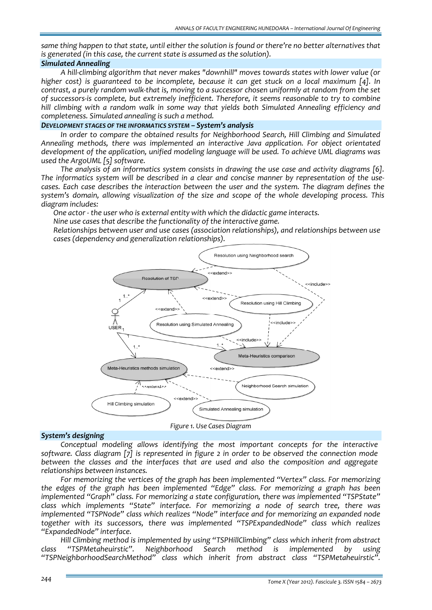same thing happen to that state, until either the solution is found or there're no better alternatives that *is generated (in this case, the current state is assumed as the solution).*

## *Simulated Annealing*

*A hill‐climbing algorithm that never makes "downhill" moves towards states with lower value (or higher cost) is guaranteed to be incomplete, because it can get stuck on a local maximum [4]. In* contrast, a purely random walk-that is, moving to a successor chosen uniformly at random from the set *of successors‐is complete, but extremely inefficient. Therefore, it seems reasonable to try to combine hill climbing with a random walk in some way that yields both Simulated Annealing efficiency and completeness. Simulated annealing is such a method.*

## *DEVELOPMENT STAGES OF THE INFORMATICS SYSTEM – System's analysis*

*In order to compare the obtained results for Neighborhood Search, Hill Climbing and Simulated Annealing methods, there was implemented an interactive Java application. For object orientated development of the application, unified modeling language will be used. To achieve UML diagrams was used the ArgoUML [5] software.*

*The analysis of an informatics system consists in drawing the use case and activity diagrams [6].* The informatics system will be described in a clear and concise manner by representation of the use*cases. Each case describes the interaction between the user and the system. The diagram defines the system's domain, allowing visualization of the size and scope of the whole developing process. This diagram includes:* 

*One actor ‐ the user who is external entity with which the didactic game interacts.*

*Nine use cases that describe the functionality of the interactive game.* 

 *Relationships between user and use cases (association relationships), and relationships between use cases (dependency and generalization relationships).*



*Figure 1. Use Cases Diagram*

## *System's designing*

*Conceptual modeling allows identifying the most important concepts for the interactive software. Class diagram [7] is represented in figure 2 in order to be observed the connection mode between the classes and the interfaces that are used and also the composition and aggregate relationships between instances.* 

*For memorizing the vertices of the graph has been implemented "Vertex" class. For memorizing the edges of the graph has been implemented "Edge" class. For memorizing a graph has been implemented "Graph" class. For memorizing a state configuration, there was implemented "TSPState" class which implements "State" interface. For memorizing a node of search tree, there was implemented "TSPNode" class which realizes "Node" interface and for memorizing an expanded node together with its successors, there was implemented "TSPExpandedNode" class which realizes "ExpandedNode" interface.*

*Hill Climbing method is implemented by using "TSPHillClimbing" class which inherit from abstract class "TSPMetaheuirstic". Neighborhood Search method is implemented by using "TSPNeighborhoodSearchMethod" class which inherit from abstract class "TSPMetaheuirstic".*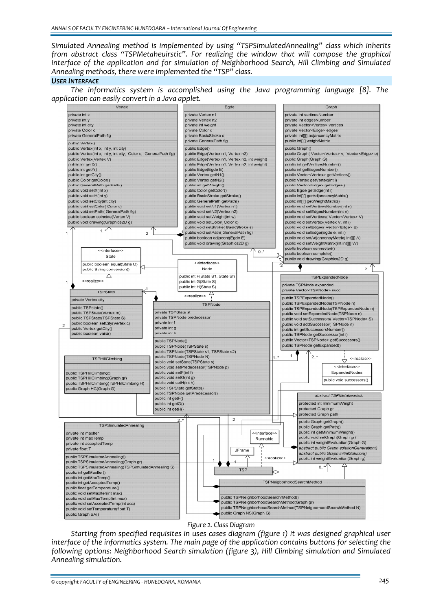*Simulated Annealing method is implemented by using "TSPSimulatedAnnealing" class which inherits from abstract class "TSPMetaheuirstic". For realizing the window that will compose the graphical interface of the application and for simulation of Neighborhood Search, Hill Climbing and Simulated Annealing methods, there were implemented the "TSP" class.*

#### *USER INTERFACE*

*The informatics system is accomplished using the Java programming language [8]. The application can easily convert in a Java applet.*



*Figure 2. Class Diagram* 

*Starting from specified requisites in uses cases diagram (figure 1) it was designed graphical user interface of the informatics system. The main page of the application contains buttons for selecting the following options: Neighborhood Search simulation (figure 3), Hill Climbing simulation and Simulated Annealing simulation.*